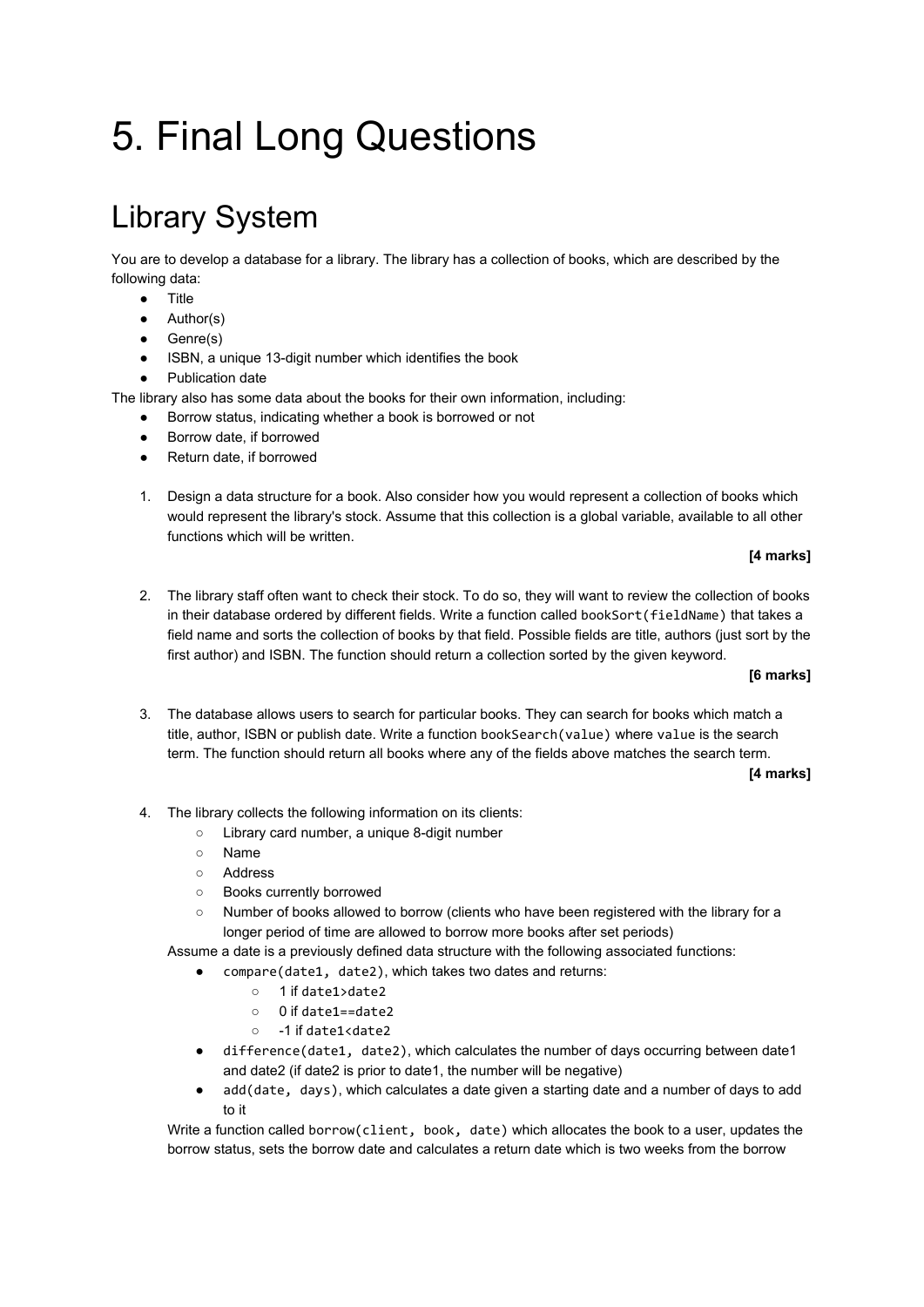# 5. Final Long Questions

# Library System

You are to develop a database for a library. The library has a collection of books, which are described by the following data:

- Title
- Author(s)
- Genre(s)
- ISBN, a unique 13-digit number which identifies the book
- Publication date

The library also has some data about the books for their own information, including:

- Borrow status, indicating whether a book is borrowed or not
- Borrow date, if borrowed
- Return date, if borrowed
- 1. Design a data structure for a book. Also consider how you would represent a collection of books which would represent the library's stock. Assume that this collection is a global variable, available to all other functions which will be written.

# **[4 marks]**

2. The library staff often want to check their stock. To do so, they will want to review the collection of books in their database ordered by different fields. Write a function called bookSort(fieldName) that takes a field name and sorts the collection of books by that field. Possible fields are title, authors (just sort by the first author) and ISBN. The function should return a collection sorted by the given keyword.

### **[6 marks]**

3. The database allows users to search for particular books. They can search for books which match a title, author, ISBN or publish date. Write a function bookSearch(value) where value is the search term. The function should return all books where any of the fields above matches the search term.

### **[4 marks]**

- 4. The library collects the following information on its clients:
	- Library card number, a unique 8-digit number
	- Name
	- Address
	- Books currently borrowed
	- Number of books allowed to borrow (clients who have been registered with the library for a longer period of time are allowed to borrow more books after set periods)

Assume a date is a previously defined data structure with the following associated functions:

- compare(date1, date2), which takes two dates and returns:
	- 1 if date1>date2
	- 0 if date1==date2
	- -1 if date1<date2
- difference(date1, date2), which calculates the number of days occurring between date1 and date2 (if date2 is prior to date1, the number will be negative)
- add(date, days), which calculates a date given a starting date and a number of days to add to it

Write a function called borrow(client, book, date) which allocates the book to a user, updates the borrow status, sets the borrow date and calculates a return date which is two weeks from the borrow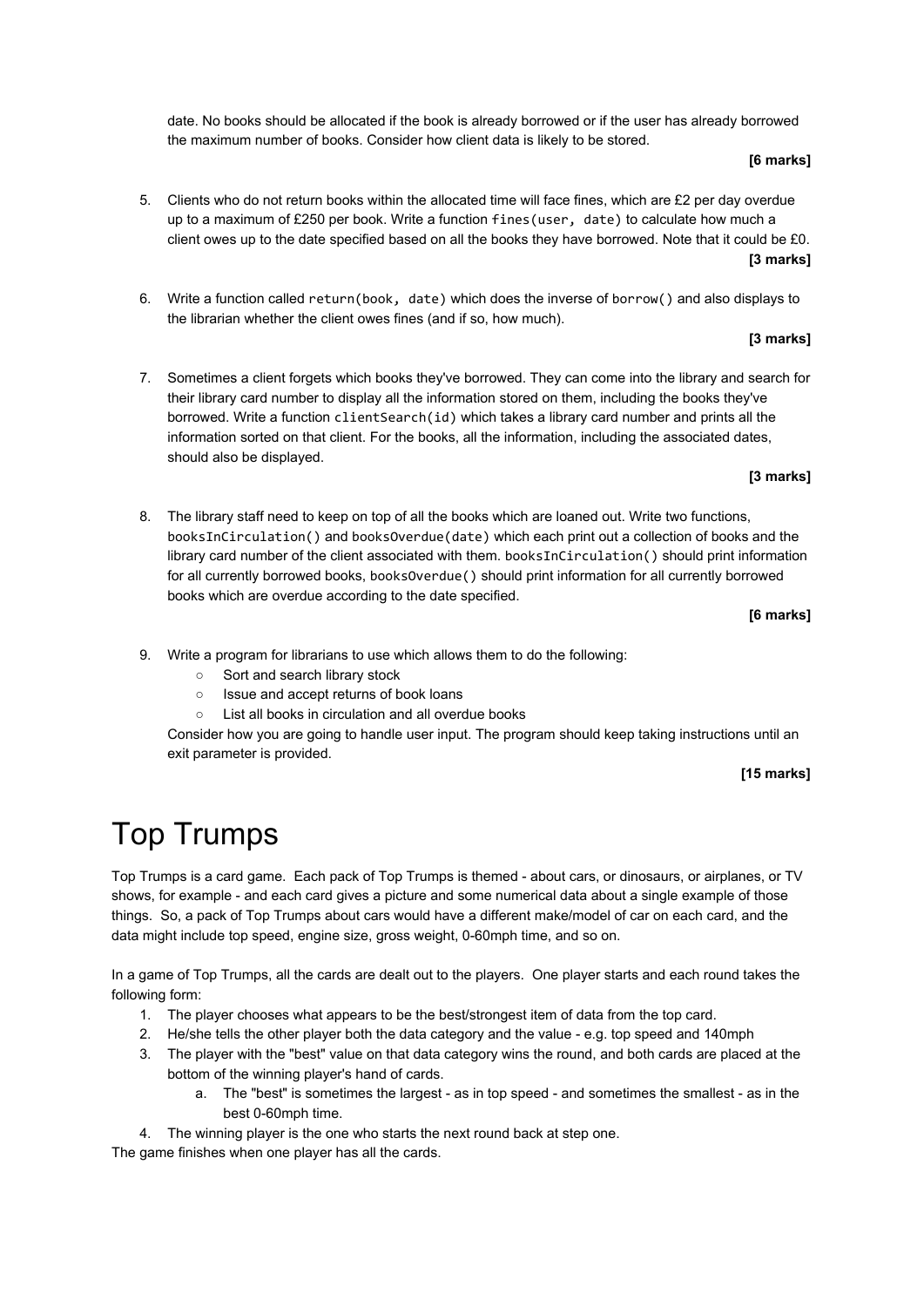date. No books should be allocated if the book is already borrowed or if the user has already borrowed the maximum number of books. Consider how client data is likely to be stored.

# **[6 marks]**

- 5. Clients who do not return books within the allocated time will face fines, which are £2 per day overdue up to a maximum of £250 per book. Write a function fines(user, date) to calculate how much a client owes up to the date specified based on all the books they have borrowed. Note that it could be £0. **[3 marks]**
- 6. Write a function called return(book, date) which does the inverse of borrow() and also displays to the librarian whether the client owes fines (and if so, how much).

# **[3 marks]**

7. Sometimes a client forgets which books they've borrowed. They can come into the library and search for their library card number to display all the information stored on them, including the books they've borrowed. Write a function clientSearch(id) which takes a library card number and prints all the information sorted on that client. For the books, all the information, including the associated dates, should also be displayed.

# **[3 marks]**

8. The library staff need to keep on top of all the books which are loaned out. Write two functions, booksInCirculation() and booksOverdue(date) which each print out a collection of books and the library card number of the client associated with them. booksInCirculation() should print information for all currently borrowed books, booksOverdue() should print information for all currently borrowed books which are overdue according to the date specified.

# **[6 marks]**

- 9. Write a program for librarians to use which allows them to do the following:
	- Sort and search library stock
	- Issue and accept returns of book loans
	- List all books in circulation and all overdue books

Consider how you are going to handle user input. The program should keep taking instructions until an exit parameter is provided.

# **[15 marks]**

# Top Trumps

Top Trumps is a card game. Each pack of Top Trumps is themed - about cars, or dinosaurs, or airplanes, or TV shows, for example - and each card gives a picture and some numerical data about a single example of those things. So, a pack of Top Trumps about cars would have a different make/model of car on each card, and the data might include top speed, engine size, gross weight, 0-60mph time, and so on.

In a game of Top Trumps, all the cards are dealt out to the players. One player starts and each round takes the following form:

- 1. The player chooses what appears to be the best/strongest item of data from the top card.
- 2. He/she tells the other player both the data category and the value e.g. top speed and 140mph
- 3. The player with the "best" value on that data category wins the round, and both cards are placed at the bottom of the winning player's hand of cards.
	- a. The "best" is sometimes the largest as in top speed and sometimes the smallest as in the best 0-60mph time.
- 4. The winning player is the one who starts the next round back at step one.

The game finishes when one player has all the cards.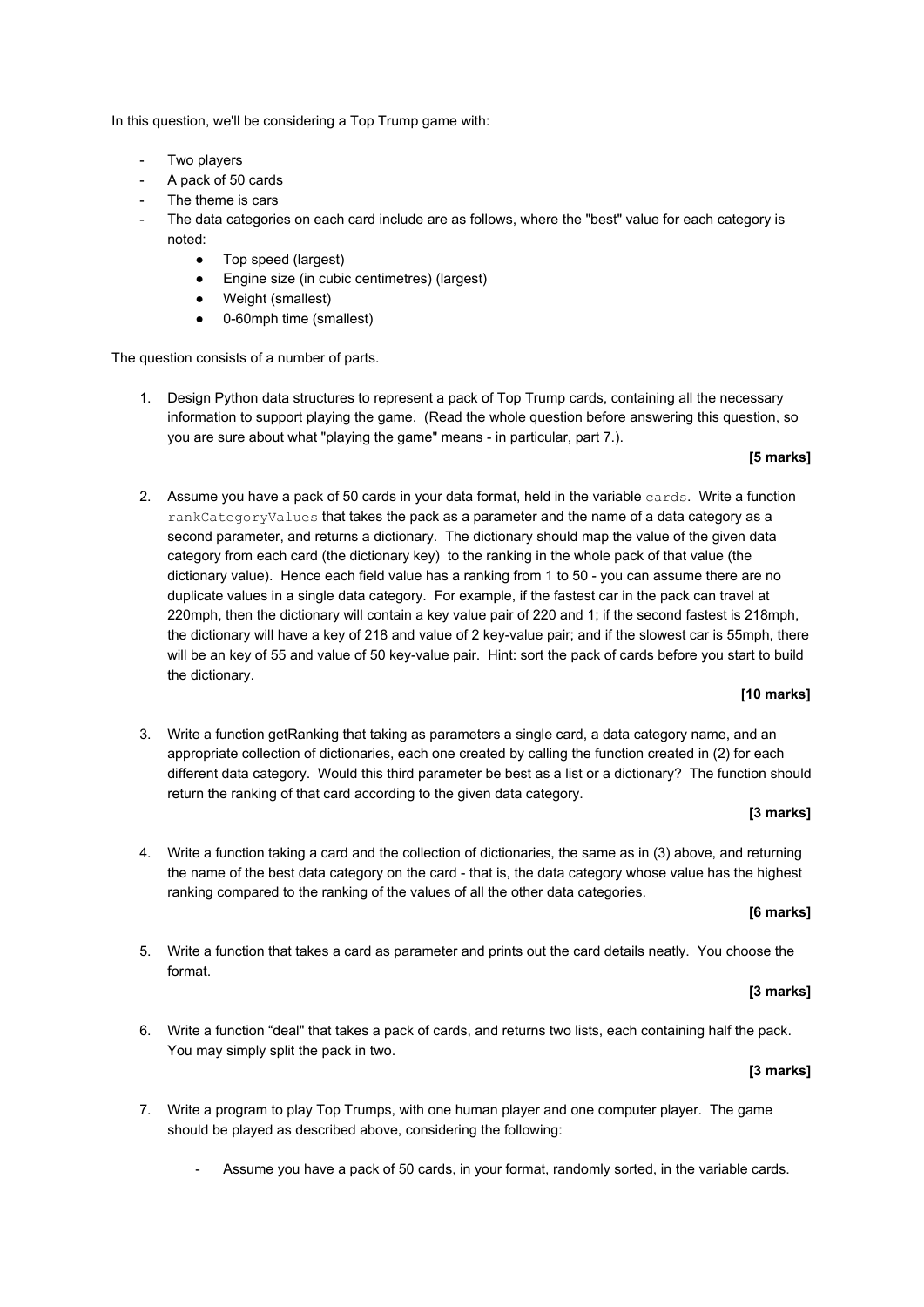In this question, we'll be considering a Top Trump game with:

- Two players
- A pack of 50 cards
- The theme is cars
- The data categories on each card include are as follows, where the "best" value for each category is noted:
	- Top speed (largest)
	- Engine size (in cubic centimetres) (largest)
	- Weight (smallest)
	- 0-60mph time (smallest)

The question consists of a number of parts.

1. Design Python data structures to represent a pack of Top Trump cards, containing all the necessary information to support playing the game. (Read the whole question before answering this question, so you are sure about what "playing the game" means - in particular, part 7.).

### **[5 marks]**

2. Assume you have a pack of 50 cards in your data format, held in the variable cards. Write a function rankCategoryValues that takes the pack as a parameter and the name of a data category as a second parameter, and returns a dictionary. The dictionary should map the value of the given data category from each card (the dictionary key) to the ranking in the whole pack of that value (the dictionary value). Hence each field value has a ranking from 1 to 50 - you can assume there are no duplicate values in a single data category. For example, if the fastest car in the pack can travel at 220mph, then the dictionary will contain a key value pair of 220 and 1; if the second fastest is 218mph, the dictionary will have a key of 218 and value of 2 key-value pair; and if the slowest car is 55mph, there will be an key of 55 and value of 50 key-value pair. Hint: sort the pack of cards before you start to build the dictionary.

#### **[10 marks]**

3. Write a function getRanking that taking as parameters a single card, a data category name, and an appropriate collection of dictionaries, each one created by calling the function created in (2) for each different data category. Would this third parameter be best as a list or a dictionary? The function should return the ranking of that card according to the given data category.

#### **[3 marks]**

4. Write a function taking a card and the collection of dictionaries, the same as in (3) above, and returning the name of the best data category on the card - that is, the data category whose value has the highest ranking compared to the ranking of the values of all the other data categories.

# **[6 marks]**

5. Write a function that takes a card as parameter and prints out the card details neatly. You choose the format.

### **[3 marks]**

6. Write a function "deal" that takes a pack of cards, and returns two lists, each containing half the pack. You may simply split the pack in two.

### **[3 marks]**

- 7. Write a program to play Top Trumps, with one human player and one computer player. The game should be played as described above, considering the following:
	- Assume you have a pack of 50 cards, in your format, randomly sorted, in the variable cards.